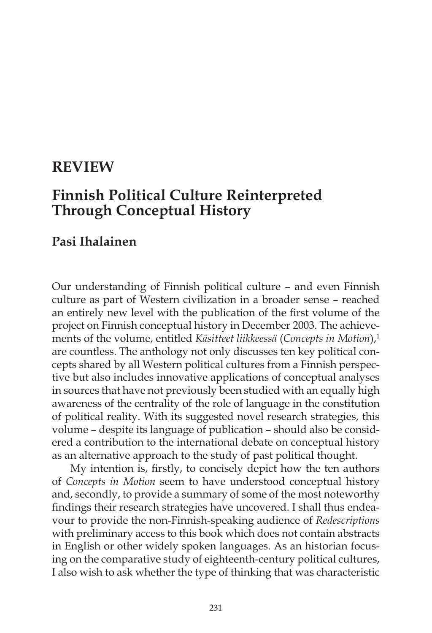# **REVIEW**

# **Finnish Political Culture Reinterpreted Through Conceptual History**

# **Pasi Ihalainen**

Our understanding of Finnish political culture – and even Finnish culture as part of Western civilization in a broader sense – reached an entirely new level with the publication of the first volume of the project on Finnish conceptual history in December 2003. The achievements of the volume, entitled *Käsitteet liikkeessä* (*Concepts in Motion*), 1 are countless. The anthology not only discusses ten key political concepts shared by all Western political cultures from a Finnish perspective but also includes innovative applications of conceptual analyses in sources that have not previously been studied with an equally high awareness of the centrality of the role of language in the constitution of political reality. With its suggested novel research strategies, this volume – despite its language of publication – should also be considered a contribution to the international debate on conceptual history as an alternative approach to the study of past political thought.

My intention is, firstly, to concisely depict how the ten authors of *Concepts in Motion* seem to have understood conceptual history and, secondly, to provide a summary of some of the most noteworthy findings their research strategies have uncovered. I shall thus endeavour to provide the non-Finnish-speaking audience of *Redescriptions* with preliminary access to this book which does not contain abstracts in English or other widely spoken languages. As an historian focusing on the comparative study of eighteenth-century political cultures, I also wish to ask whether the type of thinking that was characteristic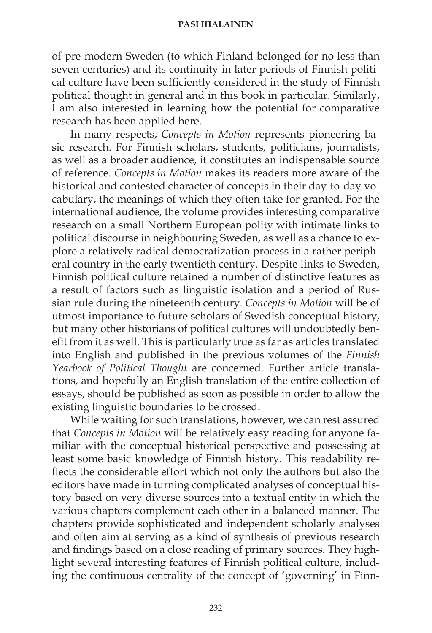of pre-modern Sweden (to which Finland belonged for no less than seven centuries) and its continuity in later periods of Finnish political culture have been sufficiently considered in the study of Finnish political thought in general and in this book in particular. Similarly, I am also interested in learning how the potential for comparative research has been applied here.

In many respects, *Concepts in Motion* represents pioneering basic research. For Finnish scholars, students, politicians, journalists, as well as a broader audience, it constitutes an indispensable source of reference. *Concepts in Motion* makes its readers more aware of the historical and contested character of concepts in their day-to-day vocabulary, the meanings of which they often take for granted. For the international audience, the volume provides interesting comparative research on a small Northern European polity with intimate links to political discourse in neighbouring Sweden, as well as a chance to explore a relatively radical democratization process in a rather peripheral country in the early twentieth century. Despite links to Sweden, Finnish political culture retained a number of distinctive features as a result of factors such as linguistic isolation and a period of Russian rule during the nineteenth century. *Concepts in Motion* will be of utmost importance to future scholars of Swedish conceptual history, but many other historians of political cultures will undoubtedly benefit from it as well. This is particularly true as far as articles translated into English and published in the previous volumes of the *Finnish Yearbook of Political Thought* are concerned. Further article translations, and hopefully an English translation of the entire collection of essays, should be published as soon as possible in order to allow the existing linguistic boundaries to be crossed.

While waiting for such translations, however, we can rest assured that *Concepts in Motion* will be relatively easy reading for anyone familiar with the conceptual historical perspective and possessing at least some basic knowledge of Finnish history. This readability reflects the considerable effort which not only the authors but also the editors have made in turning complicated analyses of conceptual history based on very diverse sources into a textual entity in which the various chapters complement each other in a balanced manner. The chapters provide sophisticated and independent scholarly analyses and often aim at serving as a kind of synthesis of previous research and findings based on a close reading of primary sources. They highlight several interesting features of Finnish political culture, including the continuous centrality of the concept of 'governing' in Finn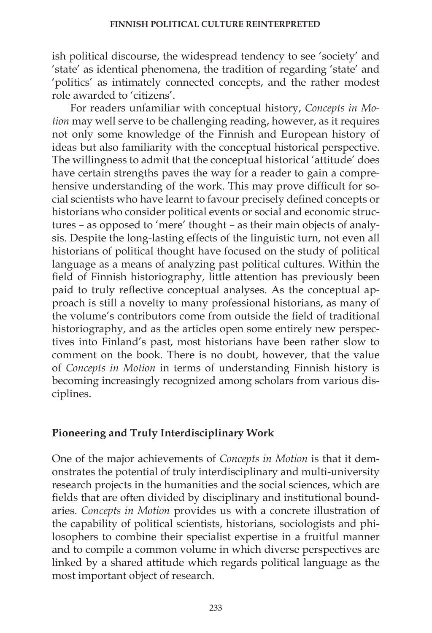ish political discourse, the widespread tendency to see 'society' and 'state' as identical phenomena, the tradition of regarding 'state' and 'politics' as intimately connected concepts, and the rather modest role awarded to 'citizens'.

For readers unfamiliar with conceptual history, *Concepts in Motion* may well serve to be challenging reading, however, as it requires not only some knowledge of the Finnish and European history of ideas but also familiarity with the conceptual historical perspective. The willingness to admit that the conceptual historical 'attitude' does have certain strengths paves the way for a reader to gain a comprehensive understanding of the work. This may prove difficult for social scientists who have learnt to favour precisely defined concepts or historians who consider political events or social and economic structures – as opposed to 'mere' thought – as their main objects of analysis. Despite the long-lasting effects of the linguistic turn, not even all historians of political thought have focused on the study of political language as a means of analyzing past political cultures. Within the field of Finnish historiography, little attention has previously been paid to truly reflective conceptual analyses. As the conceptual approach is still a novelty to many professional historians, as many of the volume's contributors come from outside the field of traditional historiography, and as the articles open some entirely new perspectives into Finland's past, most historians have been rather slow to comment on the book. There is no doubt, however, that the value of *Concepts in Motion* in terms of understanding Finnish history is becoming increasingly recognized among scholars from various disciplines.

## **Pioneering and Truly Interdisciplinary Work**

One of the major achievements of *Concepts in Motion* is that it demonstrates the potential of truly interdisciplinary and multi-university research projects in the humanities and the social sciences, which are fields that are often divided by disciplinary and institutional boundaries. *Concepts in Motion* provides us with a concrete illustration of the capability of political scientists, historians, sociologists and philosophers to combine their specialist expertise in a fruitful manner and to compile a common volume in which diverse perspectives are linked by a shared attitude which regards political language as the most important object of research.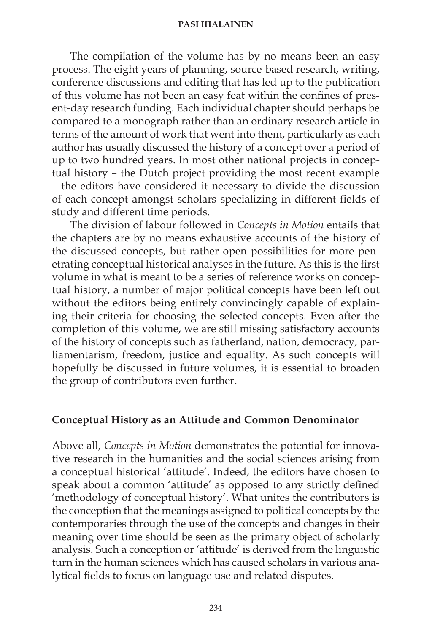The compilation of the volume has by no means been an easy process. The eight years of planning, source-based research, writing, conference discussions and editing that has led up to the publication of this volume has not been an easy feat within the confines of present-day research funding. Each individual chapter should perhaps be compared to a monograph rather than an ordinary research article in terms of the amount of work that went into them, particularly as each author has usually discussed the history of a concept over a period of up to two hundred years. In most other national projects in conceptual history – the Dutch project providing the most recent example – the editors have considered it necessary to divide the discussion of each concept amongst scholars specializing in different fields of study and different time periods.

The division of labour followed in *Concepts in Motion* entails that the chapters are by no means exhaustive accounts of the history of the discussed concepts, but rather open possibilities for more penetrating conceptual historical analyses in the future. As this is the first volume in what is meant to be a series of reference works on conceptual history, a number of major political concepts have been left out without the editors being entirely convincingly capable of explaining their criteria for choosing the selected concepts. Even after the completion of this volume, we are still missing satisfactory accounts of the history of concepts such as fatherland, nation, democracy, parliamentarism, freedom, justice and equality. As such concepts will hopefully be discussed in future volumes, it is essential to broaden the group of contributors even further.

### **Conceptual History as an Attitude and Common Denominator**

Above all, *Concepts in Motion* demonstrates the potential for innovative research in the humanities and the social sciences arising from a conceptual historical 'attitude'. Indeed, the editors have chosen to speak about a common 'attitude' as opposed to any strictly defined 'methodology of conceptual history'. What unites the contributors is the conception that the meanings assigned to political concepts by the contemporaries through the use of the concepts and changes in their meaning over time should be seen as the primary object of scholarly analysis. Such a conception or 'attitude' is derived from the linguistic turn in the human sciences which has caused scholars in various analytical fields to focus on language use and related disputes.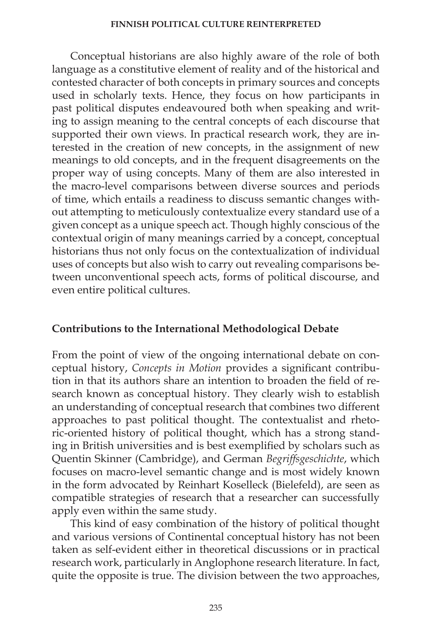#### **FINNISH POLITICAL CULTURE REINTERPRETED**

Conceptual historians are also highly aware of the role of both language as a constitutive element of reality and of the historical and contested character of both concepts in primary sources and concepts used in scholarly texts. Hence, they focus on how participants in past political disputes endeavoured both when speaking and writing to assign meaning to the central concepts of each discourse that supported their own views. In practical research work, they are interested in the creation of new concepts, in the assignment of new meanings to old concepts, and in the frequent disagreements on the proper way of using concepts. Many of them are also interested in the macro-level comparisons between diverse sources and periods of time, which entails a readiness to discuss semantic changes without attempting to meticulously contextualize every standard use of a given concept as a unique speech act. Though highly conscious of the contextual origin of many meanings carried by a concept, conceptual historians thus not only focus on the contextualization of individual uses of concepts but also wish to carry out revealing comparisons between unconventional speech acts, forms of political discourse, and even entire political cultures.

### **Contributions to the International Methodological Debate**

From the point of view of the ongoing international debate on conceptual history, *Concepts in Motion* provides a significant contribution in that its authors share an intention to broaden the field of research known as conceptual history. They clearly wish to establish an understanding of conceptual research that combines two different approaches to past political thought. The contextualist and rhetoric-oriented history of political thought, which has a strong standing in British universities and is best exemplified by scholars such as Quentin Skinner (Cambridge), and German *Begriffsgeschichte*, which focuses on macro-level semantic change and is most widely known in the form advocated by Reinhart Koselleck (Bielefeld), are seen as compatible strategies of research that a researcher can successfully apply even within the same study.

This kind of easy combination of the history of political thought and various versions of Continental conceptual history has not been taken as self-evident either in theoretical discussions or in practical research work, particularly in Anglophone research literature. In fact, quite the opposite is true. The division between the two approaches,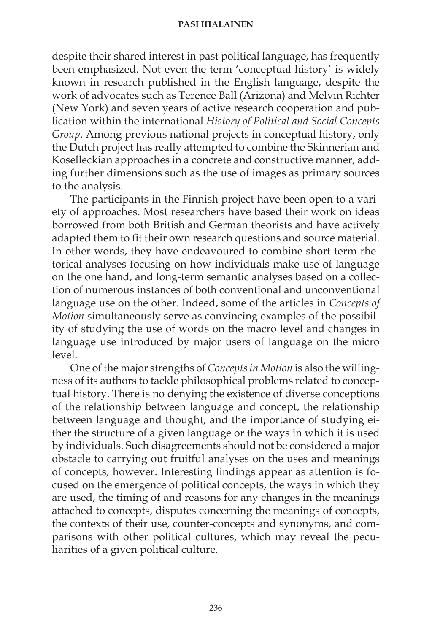despite their shared interest in past political language, has frequently been emphasized. Not even the term 'conceptual history' is widely known in research published in the English language, despite the work of advocates such as Terence Ball (Arizona) and Melvin Richter (New York) and seven years of active research cooperation and publication within the international *History of Political and Social Concepts Group*. Among previous national projects in conceptual history, only the Dutch project has really attempted to combine the Skinnerian and Koselleckian approaches in a concrete and constructive manner, adding further dimensions such as the use of images as primary sources to the analysis.

The participants in the Finnish project have been open to a variety of approaches. Most researchers have based their work on ideas borrowed from both British and German theorists and have actively adapted them to fit their own research questions and source material. In other words, they have endeavoured to combine short-term rhetorical analyses focusing on how individuals make use of language on the one hand, and long-term semantic analyses based on a collection of numerous instances of both conventional and unconventional language use on the other. Indeed, some of the articles in *Concepts of Motion* simultaneously serve as convincing examples of the possibility of studying the use of words on the macro level and changes in language use introduced by major users of language on the micro level.

One of the major strengths of *Concepts in Motion* is also the willingness of its authors to tackle philosophical problems related to conceptual history. There is no denying the existence of diverse conceptions of the relationship between language and concept, the relationship between language and thought, and the importance of studying either the structure of a given language or the ways in which it is used by individuals. Such disagreements should not be considered a major obstacle to carrying out fruitful analyses on the uses and meanings of concepts, however. Interesting findings appear as attention is focused on the emergence of political concepts, the ways in which they are used, the timing of and reasons for any changes in the meanings attached to concepts, disputes concerning the meanings of concepts, the contexts of their use, counter-concepts and synonyms, and comparisons with other political cultures, which may reveal the peculiarities of a given political culture.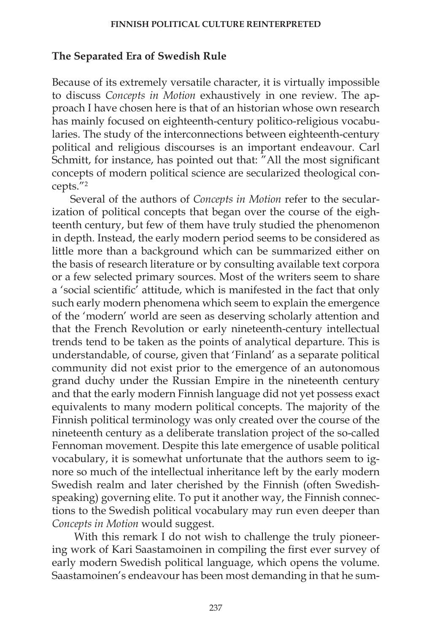### **The Separated Era of Swedish Rule**

Because of its extremely versatile character, it is virtually impossible to discuss *Concepts in Motion* exhaustively in one review. The approach I have chosen here is that of an historian whose own research has mainly focused on eighteenth-century politico-religious vocabularies. The study of the interconnections between eighteenth-century political and religious discourses is an important endeavour. Carl Schmitt, for instance, has pointed out that: "All the most significant concepts of modern political science are secularized theological concepts."2

Several of the authors of *Concepts in Motion* refer to the secularization of political concepts that began over the course of the eighteenth century, but few of them have truly studied the phenomenon in depth. Instead, the early modern period seems to be considered as little more than a background which can be summarized either on the basis of research literature or by consulting available text corpora or a few selected primary sources. Most of the writers seem to share a 'social scientific' attitude, which is manifested in the fact that only such early modern phenomena which seem to explain the emergence of the 'modern' world are seen as deserving scholarly attention and that the French Revolution or early nineteenth-century intellectual trends tend to be taken as the points of analytical departure. This is understandable, of course, given that 'Finland' as a separate political community did not exist prior to the emergence of an autonomous grand duchy under the Russian Empire in the nineteenth century and that the early modern Finnish language did not yet possess exact equivalents to many modern political concepts. The majority of the Finnish political terminology was only created over the course of the nineteenth century as a deliberate translation project of the so-called Fennoman movement. Despite this late emergence of usable political vocabulary, it is somewhat unfortunate that the authors seem to ignore so much of the intellectual inheritance left by the early modern Swedish realm and later cherished by the Finnish (often Swedishspeaking) governing elite. To put it another way, the Finnish connections to the Swedish political vocabulary may run even deeper than *Concepts in Motion* would suggest.

With this remark I do not wish to challenge the truly pioneering work of Kari Saastamoinen in compiling the first ever survey of early modern Swedish political language, which opens the volume. Saastamoinen's endeavour has been most demanding in that he sum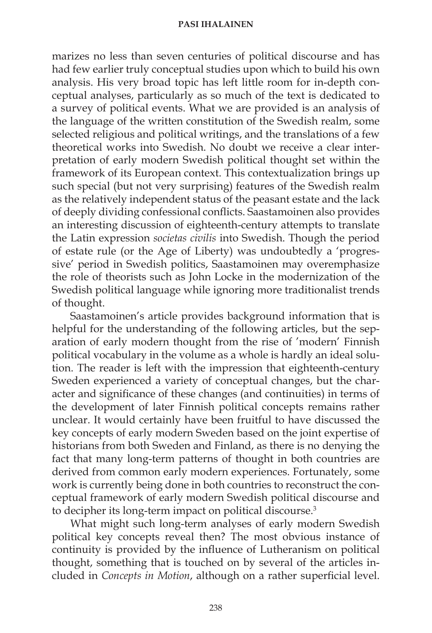marizes no less than seven centuries of political discourse and has had few earlier truly conceptual studies upon which to build his own analysis. His very broad topic has left little room for in-depth conceptual analyses, particularly as so much of the text is dedicated to a survey of political events. What we are provided is an analysis of the language of the written constitution of the Swedish realm, some selected religious and political writings, and the translations of a few theoretical works into Swedish. No doubt we receive a clear interpretation of early modern Swedish political thought set within the framework of its European context. This contextualization brings up such special (but not very surprising) features of the Swedish realm as the relatively independent status of the peasant estate and the lack of deeply dividing confessional conflicts. Saastamoinen also provides an interesting discussion of eighteenth-century attempts to translate the Latin expression *societas civilis* into Swedish. Though the period of estate rule (or the Age of Liberty) was undoubtedly a 'progressive' period in Swedish politics, Saastamoinen may overemphasize the role of theorists such as John Locke in the modernization of the Swedish political language while ignoring more traditionalist trends of thought.

Saastamoinen's article provides background information that is helpful for the understanding of the following articles, but the separation of early modern thought from the rise of 'modern' Finnish political vocabulary in the volume as a whole is hardly an ideal solution. The reader is left with the impression that eighteenth-century Sweden experienced a variety of conceptual changes, but the character and significance of these changes (and continuities) in terms of the development of later Finnish political concepts remains rather unclear. It would certainly have been fruitful to have discussed the key concepts of early modern Sweden based on the joint expertise of historians from both Sweden and Finland, as there is no denying the fact that many long-term patterns of thought in both countries are derived from common early modern experiences. Fortunately, some work is currently being done in both countries to reconstruct the conceptual framework of early modern Swedish political discourse and to decipher its long-term impact on political discourse.3

What might such long-term analyses of early modern Swedish political key concepts reveal then? The most obvious instance of continuity is provided by the influence of Lutheranism on political thought, something that is touched on by several of the articles included in *Concepts in Motion*, although on a rather superficial level.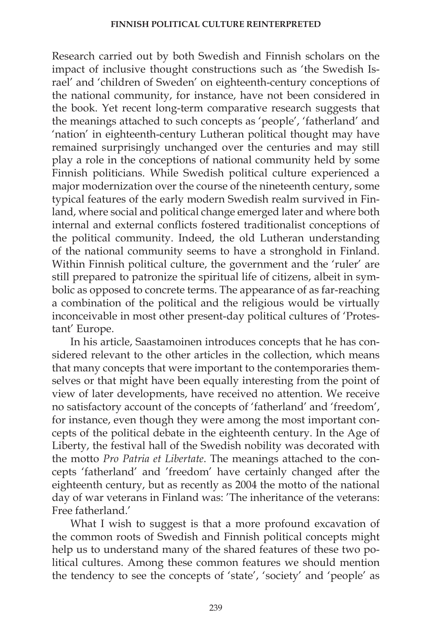Research carried out by both Swedish and Finnish scholars on the impact of inclusive thought constructions such as 'the Swedish Israel' and 'children of Sweden' on eighteenth-century conceptions of the national community, for instance, have not been considered in the book. Yet recent long-term comparative research suggests that the meanings attached to such concepts as 'people', 'fatherland' and 'nation' in eighteenth-century Lutheran political thought may have remained surprisingly unchanged over the centuries and may still play a role in the conceptions of national community held by some Finnish politicians. While Swedish political culture experienced a major modernization over the course of the nineteenth century, some typical features of the early modern Swedish realm survived in Finland, where social and political change emerged later and where both internal and external conflicts fostered traditionalist conceptions of the political community. Indeed, the old Lutheran understanding of the national community seems to have a stronghold in Finland. Within Finnish political culture, the government and the 'ruler' are still prepared to patronize the spiritual life of citizens, albeit in symbolic as opposed to concrete terms. The appearance of as far-reaching a combination of the political and the religious would be virtually inconceivable in most other present-day political cultures of 'Protestant' Europe.

In his article, Saastamoinen introduces concepts that he has considered relevant to the other articles in the collection, which means that many concepts that were important to the contemporaries themselves or that might have been equally interesting from the point of view of later developments, have received no attention. We receive no satisfactory account of the concepts of 'fatherland' and 'freedom', for instance, even though they were among the most important concepts of the political debate in the eighteenth century. In the Age of Liberty, the festival hall of the Swedish nobility was decorated with the motto *Pro Patria et Libertate*. The meanings attached to the concepts 'fatherland' and 'freedom' have certainly changed after the eighteenth century, but as recently as 2004 the motto of the national day of war veterans in Finland was: 'The inheritance of the veterans: Free fatherland.'

What I wish to suggest is that a more profound excavation of the common roots of Swedish and Finnish political concepts might help us to understand many of the shared features of these two political cultures. Among these common features we should mention the tendency to see the concepts of 'state', 'society' and 'people' as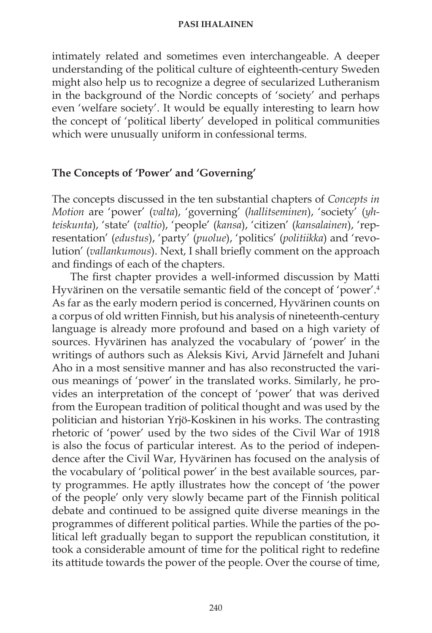intimately related and sometimes even interchangeable. A deeper understanding of the political culture of eighteenth-century Sweden might also help us to recognize a degree of secularized Lutheranism in the background of the Nordic concepts of 'society' and perhaps even 'welfare society'. It would be equally interesting to learn how the concept of 'political liberty' developed in political communities which were unusually uniform in confessional terms.

### **The Concepts of 'Power' and 'Governing'**

The concepts discussed in the ten substantial chapters of *Concepts in Motion* are 'power' (*valta*), 'governing' (*hallitseminen*), 'society' (*yhteiskunta*), 'state' (*valtio*), 'people' (*kansa*), 'citizen' (*kansalainen*), 'representation' (*edustus*), 'party' (*puolue*), 'politics' (*politiikka*) and 'revolution' (*vallankumous*). Next, I shall briefly comment on the approach and findings of each of the chapters.

The first chapter provides a well-informed discussion by Matti Hyvärinen on the versatile semantic field of the concept of 'power'.4 As far as the early modern period is concerned, Hyvärinen counts on a corpus of old written Finnish, but his analysis of nineteenth-century language is already more profound and based on a high variety of sources. Hyvärinen has analyzed the vocabulary of 'power' in the writings of authors such as Aleksis Kivi, Arvid Järnefelt and Juhani Aho in a most sensitive manner and has also reconstructed the various meanings of 'power' in the translated works. Similarly, he provides an interpretation of the concept of 'power' that was derived from the European tradition of political thought and was used by the politician and historian Yrjö-Koskinen in his works. The contrasting rhetoric of 'power' used by the two sides of the Civil War of 1918 is also the focus of particular interest. As to the period of independence after the Civil War, Hyvärinen has focused on the analysis of the vocabulary of 'political power' in the best available sources, party programmes. He aptly illustrates how the concept of 'the power of the people' only very slowly became part of the Finnish political debate and continued to be assigned quite diverse meanings in the programmes of different political parties. While the parties of the political left gradually began to support the republican constitution, it took a considerable amount of time for the political right to redefine its attitude towards the power of the people. Over the course of time,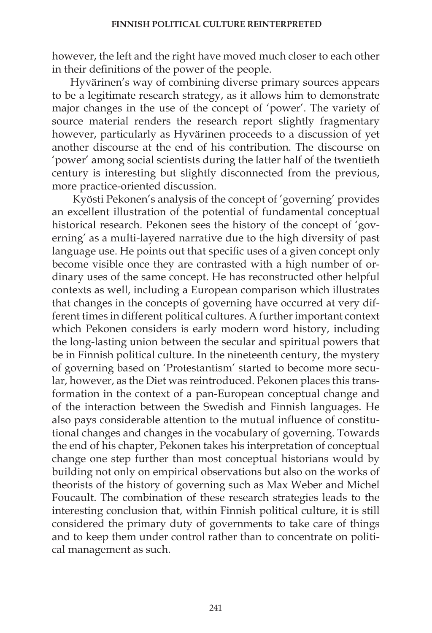however, the left and the right have moved much closer to each other in their definitions of the power of the people.

Hyvärinen's way of combining diverse primary sources appears to be a legitimate research strategy, as it allows him to demonstrate major changes in the use of the concept of 'power'. The variety of source material renders the research report slightly fragmentary however, particularly as Hyvärinen proceeds to a discussion of yet another discourse at the end of his contribution. The discourse on 'power' among social scientists during the latter half of the twentieth century is interesting but slightly disconnected from the previous, more practice-oriented discussion.

 Kyösti Pekonen's analysis of the concept of 'governing' provides an excellent illustration of the potential of fundamental conceptual historical research. Pekonen sees the history of the concept of 'governing' as a multi-layered narrative due to the high diversity of past language use. He points out that specific uses of a given concept only become visible once they are contrasted with a high number of ordinary uses of the same concept. He has reconstructed other helpful contexts as well, including a European comparison which illustrates that changes in the concepts of governing have occurred at very different times in different political cultures. A further important context which Pekonen considers is early modern word history, including the long-lasting union between the secular and spiritual powers that be in Finnish political culture. In the nineteenth century, the mystery of governing based on 'Protestantism' started to become more secular, however, as the Diet was reintroduced. Pekonen places this transformation in the context of a pan-European conceptual change and of the interaction between the Swedish and Finnish languages. He also pays considerable attention to the mutual influence of constitutional changes and changes in the vocabulary of governing. Towards the end of his chapter, Pekonen takes his interpretation of conceptual change one step further than most conceptual historians would by building not only on empirical observations but also on the works of theorists of the history of governing such as Max Weber and Michel Foucault. The combination of these research strategies leads to the interesting conclusion that, within Finnish political culture, it is still considered the primary duty of governments to take care of things and to keep them under control rather than to concentrate on political management as such.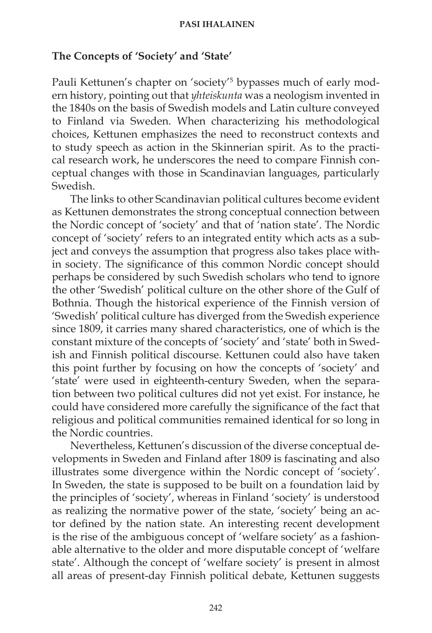### **The Concepts of 'Society' and 'State'**

Pauli Kettunen's chapter on 'society'5 bypasses much of early modern history, pointing out that *yhteiskunta* was a neologism invented in the 1840s on the basis of Swedish models and Latin culture conveyed to Finland via Sweden. When characterizing his methodological choices, Kettunen emphasizes the need to reconstruct contexts and to study speech as action in the Skinnerian spirit. As to the practical research work, he underscores the need to compare Finnish conceptual changes with those in Scandinavian languages, particularly Swedish.

The links to other Scandinavian political cultures become evident as Kettunen demonstrates the strong conceptual connection between the Nordic concept of 'society' and that of 'nation state'. The Nordic concept of 'society' refers to an integrated entity which acts as a subject and conveys the assumption that progress also takes place within society. The significance of this common Nordic concept should perhaps be considered by such Swedish scholars who tend to ignore the other 'Swedish' political culture on the other shore of the Gulf of Bothnia. Though the historical experience of the Finnish version of 'Swedish' political culture has diverged from the Swedish experience since 1809, it carries many shared characteristics, one of which is the constant mixture of the concepts of 'society' and 'state' both in Swedish and Finnish political discourse. Kettunen could also have taken this point further by focusing on how the concepts of 'society' and 'state' were used in eighteenth-century Sweden, when the separation between two political cultures did not yet exist. For instance, he could have considered more carefully the significance of the fact that religious and political communities remained identical for so long in the Nordic countries.

Nevertheless, Kettunen's discussion of the diverse conceptual developments in Sweden and Finland after 1809 is fascinating and also illustrates some divergence within the Nordic concept of 'society'. In Sweden, the state is supposed to be built on a foundation laid by the principles of 'society', whereas in Finland 'society' is understood as realizing the normative power of the state, 'society' being an actor defined by the nation state. An interesting recent development is the rise of the ambiguous concept of 'welfare society' as a fashionable alternative to the older and more disputable concept of 'welfare state'. Although the concept of 'welfare society' is present in almost all areas of present-day Finnish political debate, Kettunen suggests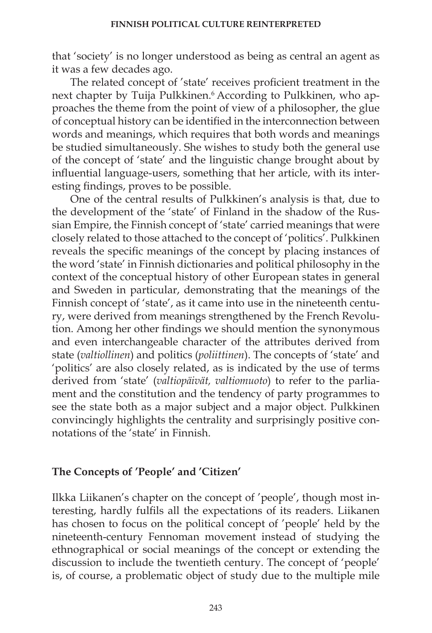that 'society' is no longer understood as being as central an agent as it was a few decades ago.

The related concept of 'state' receives proficient treatment in the next chapter by Tuija Pulkkinen.<sup>6</sup> According to Pulkkinen, who approaches the theme from the point of view of a philosopher, the glue of conceptual history can be identified in the interconnection between words and meanings, which requires that both words and meanings be studied simultaneously. She wishes to study both the general use of the concept of 'state' and the linguistic change brought about by influential language-users, something that her article, with its interesting findings, proves to be possible.

One of the central results of Pulkkinen's analysis is that, due to the development of the 'state' of Finland in the shadow of the Russian Empire, the Finnish concept of 'state' carried meanings that were closely related to those attached to the concept of 'politics'. Pulkkinen reveals the specific meanings of the concept by placing instances of the word 'state' in Finnish dictionaries and political philosophy in the context of the conceptual history of other European states in general and Sweden in particular, demonstrating that the meanings of the Finnish concept of 'state', as it came into use in the nineteenth century, were derived from meanings strengthened by the French Revolution. Among her other findings we should mention the synonymous and even interchangeable character of the attributes derived from state (*valtiollinen*) and politics (*poliittinen*). The concepts of 'state' and 'politics' are also closely related, as is indicated by the use of terms derived from 'state' (*valtiopäivät, valtiomuoto*) to refer to the parliament and the constitution and the tendency of party programmes to see the state both as a major subject and a major object. Pulkkinen convincingly highlights the centrality and surprisingly positive connotations of the 'state' in Finnish.

## **The Concepts of 'People' and 'Citizen'**

Ilkka Liikanen's chapter on the concept of 'people', though most interesting, hardly fulfils all the expectations of its readers. Liikanen has chosen to focus on the political concept of 'people' held by the nineteenth-century Fennoman movement instead of studying the ethnographical or social meanings of the concept or extending the discussion to include the twentieth century. The concept of 'people' is, of course, a problematic object of study due to the multiple mile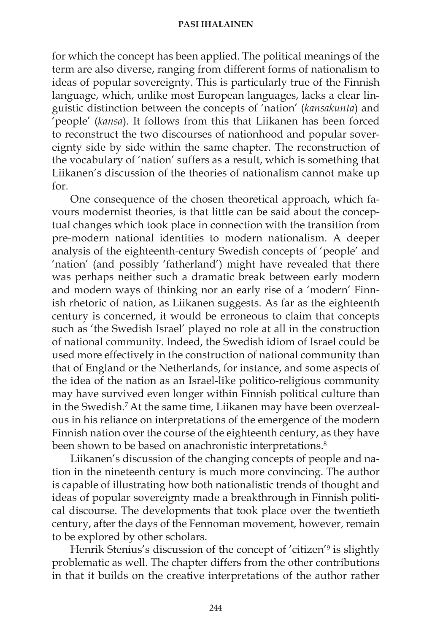for which the concept has been applied. The political meanings of the term are also diverse, ranging from different forms of nationalism to ideas of popular sovereignty. This is particularly true of the Finnish language, which, unlike most European languages, lacks a clear linguistic distinction between the concepts of 'nation' (*kansakunta*) and 'people' (*kansa*). It follows from this that Liikanen has been forced to reconstruct the two discourses of nationhood and popular sovereignty side by side within the same chapter. The reconstruction of the vocabulary of 'nation' suffers as a result, which is something that Liikanen's discussion of the theories of nationalism cannot make up for.

One consequence of the chosen theoretical approach, which favours modernist theories, is that little can be said about the conceptual changes which took place in connection with the transition from pre-modern national identities to modern nationalism. A deeper analysis of the eighteenth-century Swedish concepts of 'people' and 'nation' (and possibly 'fatherland') might have revealed that there was perhaps neither such a dramatic break between early modern and modern ways of thinking nor an early rise of a 'modern' Finnish rhetoric of nation, as Liikanen suggests. As far as the eighteenth century is concerned, it would be erroneous to claim that concepts such as 'the Swedish Israel' played no role at all in the construction of national community. Indeed, the Swedish idiom of Israel could be used more effectively in the construction of national community than that of England or the Netherlands, for instance, and some aspects of the idea of the nation as an Israel-like politico-religious community may have survived even longer within Finnish political culture than in the Swedish.7 At the same time, Liikanen may have been overzealous in his reliance on interpretations of the emergence of the modern Finnish nation over the course of the eighteenth century, as they have been shown to be based on anachronistic interpretations.<sup>8</sup>

Liikanen's discussion of the changing concepts of people and nation in the nineteenth century is much more convincing. The author is capable of illustrating how both nationalistic trends of thought and ideas of popular sovereignty made a breakthrough in Finnish political discourse. The developments that took place over the twentieth century, after the days of the Fennoman movement, however, remain to be explored by other scholars.

Henrik Stenius's discussion of the concept of 'citizen'<sup>9</sup> is slightly problematic as well. The chapter differs from the other contributions in that it builds on the creative interpretations of the author rather

244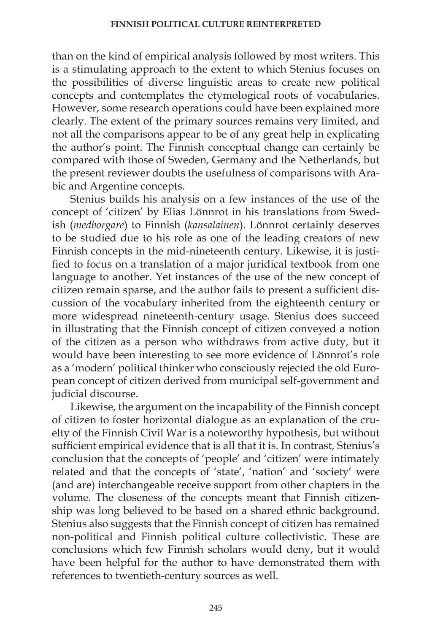than on the kind of empirical analysis followed by most writers. This is a stimulating approach to the extent to which Stenius focuses on the possibilities of diverse linguistic areas to create new political concepts and contemplates the etymological roots of vocabularies. However, some research operations could have been explained more clearly. The extent of the primary sources remains very limited, and not all the comparisons appear to be of any great help in explicating the author's point. The Finnish conceptual change can certainly be compared with those of Sweden, Germany and the Netherlands, but the present reviewer doubts the usefulness of comparisons with Arabic and Argentine concepts.

Stenius builds his analysis on a few instances of the use of the concept of 'citizen' by Elias Lönnrot in his translations from Swedish (*medborgare*) to Finnish (*kansalainen*). Lönnrot certainly deserves to be studied due to his role as one of the leading creators of new Finnish concepts in the mid-nineteenth century. Likewise, it is justified to focus on a translation of a major juridical textbook from one language to another. Yet instances of the use of the new concept of citizen remain sparse, and the author fails to present a sufficient discussion of the vocabulary inherited from the eighteenth century or more widespread nineteenth-century usage. Stenius does succeed in illustrating that the Finnish concept of citizen conveyed a notion of the citizen as a person who withdraws from active duty, but it would have been interesting to see more evidence of Lönnrot's role as a 'modern' political thinker who consciously rejected the old European concept of citizen derived from municipal self-government and judicial discourse.

Likewise, the argument on the incapability of the Finnish concept of citizen to foster horizontal dialogue as an explanation of the cruelty of the Finnish Civil War is a noteworthy hypothesis, but without sufficient empirical evidence that is all that it is. In contrast, Stenius's conclusion that the concepts of 'people' and 'citizen' were intimately related and that the concepts of 'state', 'nation' and 'society' were (and are) interchangeable receive support from other chapters in the volume. The closeness of the concepts meant that Finnish citizenship was long believed to be based on a shared ethnic background. Stenius also suggests that the Finnish concept of citizen has remained non-political and Finnish political culture collectivistic. These are conclusions which few Finnish scholars would deny, but it would have been helpful for the author to have demonstrated them with references to twentieth-century sources as well.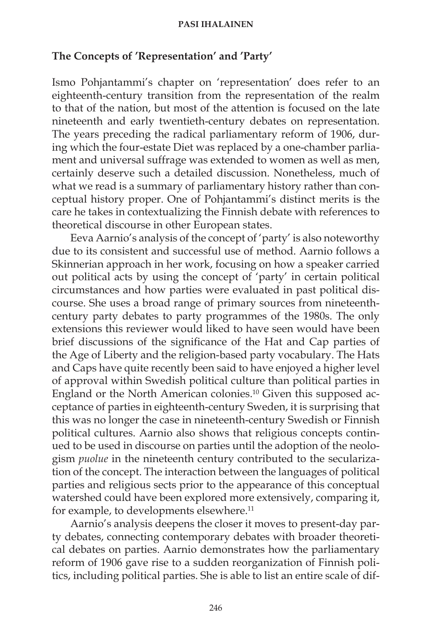### **The Concepts of 'Representation' and 'Party'**

Ismo Pohjantammi's chapter on 'representation' does refer to an eighteenth-century transition from the representation of the realm to that of the nation, but most of the attention is focused on the late nineteenth and early twentieth-century debates on representation. The years preceding the radical parliamentary reform of 1906, during which the four-estate Diet was replaced by a one-chamber parliament and universal suffrage was extended to women as well as men, certainly deserve such a detailed discussion. Nonetheless, much of what we read is a summary of parliamentary history rather than conceptual history proper. One of Pohjantammi's distinct merits is the care he takes in contextualizing the Finnish debate with references to theoretical discourse in other European states.

Eeva Aarnio's analysis of the concept of 'party' is also noteworthy due to its consistent and successful use of method. Aarnio follows a Skinnerian approach in her work, focusing on how a speaker carried out political acts by using the concept of 'party' in certain political circumstances and how parties were evaluated in past political discourse. She uses a broad range of primary sources from nineteenthcentury party debates to party programmes of the 1980s. The only extensions this reviewer would liked to have seen would have been brief discussions of the significance of the Hat and Cap parties of the Age of Liberty and the religion-based party vocabulary. The Hats and Caps have quite recently been said to have enjoyed a higher level of approval within Swedish political culture than political parties in England or the North American colonies.10 Given this supposed acceptance of parties in eighteenth-century Sweden, it is surprising that this was no longer the case in nineteenth-century Swedish or Finnish political cultures. Aarnio also shows that religious concepts continued to be used in discourse on parties until the adoption of the neologism *puolue* in the nineteenth century contributed to the secularization of the concept. The interaction between the languages of political parties and religious sects prior to the appearance of this conceptual watershed could have been explored more extensively, comparing it, for example, to developments elsewhere.11

Aarnio's analysis deepens the closer it moves to present-day party debates, connecting contemporary debates with broader theoretical debates on parties. Aarnio demonstrates how the parliamentary reform of 1906 gave rise to a sudden reorganization of Finnish politics, including political parties. She is able to list an entire scale of dif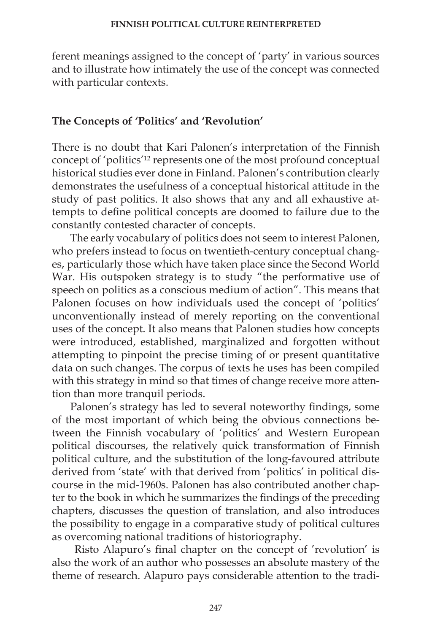ferent meanings assigned to the concept of 'party' in various sources and to illustrate how intimately the use of the concept was connected with particular contexts.

# **The Concepts of 'Politics' and 'Revolution'**

There is no doubt that Kari Palonen's interpretation of the Finnish concept of 'politics'12 represents one of the most profound conceptual historical studies ever done in Finland. Palonen's contribution clearly demonstrates the usefulness of a conceptual historical attitude in the study of past politics. It also shows that any and all exhaustive attempts to define political concepts are doomed to failure due to the constantly contested character of concepts.

The early vocabulary of politics does not seem to interest Palonen, who prefers instead to focus on twentieth-century conceptual changes, particularly those which have taken place since the Second World War. His outspoken strategy is to study "the performative use of speech on politics as a conscious medium of action". This means that Palonen focuses on how individuals used the concept of 'politics' unconventionally instead of merely reporting on the conventional uses of the concept. It also means that Palonen studies how concepts were introduced, established, marginalized and forgotten without attempting to pinpoint the precise timing of or present quantitative data on such changes. The corpus of texts he uses has been compiled with this strategy in mind so that times of change receive more attention than more tranquil periods.

Palonen's strategy has led to several noteworthy findings, some of the most important of which being the obvious connections between the Finnish vocabulary of 'politics' and Western European political discourses, the relatively quick transformation of Finnish political culture, and the substitution of the long-favoured attribute derived from 'state' with that derived from 'politics' in political discourse in the mid-1960s. Palonen has also contributed another chapter to the book in which he summarizes the findings of the preceding chapters, discusses the question of translation, and also introduces the possibility to engage in a comparative study of political cultures as overcoming national traditions of historiography.

 Risto Alapuro's final chapter on the concept of 'revolution' is also the work of an author who possesses an absolute mastery of the theme of research. Alapuro pays considerable attention to the tradi-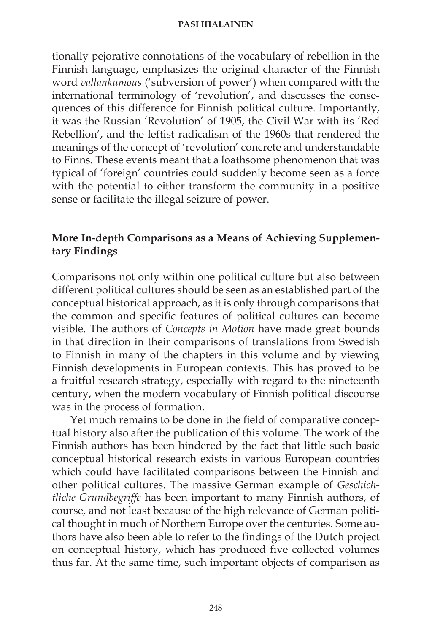tionally pejorative connotations of the vocabulary of rebellion in the Finnish language, emphasizes the original character of the Finnish word *vallankumous* ('subversion of power') when compared with the international terminology of 'revolution', and discusses the consequences of this difference for Finnish political culture. Importantly, it was the Russian 'Revolution' of 1905, the Civil War with its 'Red Rebellion', and the leftist radicalism of the 1960s that rendered the meanings of the concept of 'revolution' concrete and understandable to Finns. These events meant that a loathsome phenomenon that was typical of 'foreign' countries could suddenly become seen as a force with the potential to either transform the community in a positive sense or facilitate the illegal seizure of power.

## **More In-depth Comparisons as a Means of Achieving Supplementary Findings**

Comparisons not only within one political culture but also between different political cultures should be seen as an established part of the conceptual historical approach, as it is only through comparisons that the common and specific features of political cultures can become visible. The authors of *Concepts in Motion* have made great bounds in that direction in their comparisons of translations from Swedish to Finnish in many of the chapters in this volume and by viewing Finnish developments in European contexts. This has proved to be a fruitful research strategy, especially with regard to the nineteenth century, when the modern vocabulary of Finnish political discourse was in the process of formation.

Yet much remains to be done in the field of comparative conceptual history also after the publication of this volume. The work of the Finnish authors has been hindered by the fact that little such basic conceptual historical research exists in various European countries which could have facilitated comparisons between the Finnish and other political cultures. The massive German example of *Geschichtliche Grundbegriffe* has been important to many Finnish authors, of course, and not least because of the high relevance of German political thought in much of Northern Europe over the centuries. Some authors have also been able to refer to the findings of the Dutch project on conceptual history, which has produced five collected volumes thus far. At the same time, such important objects of comparison as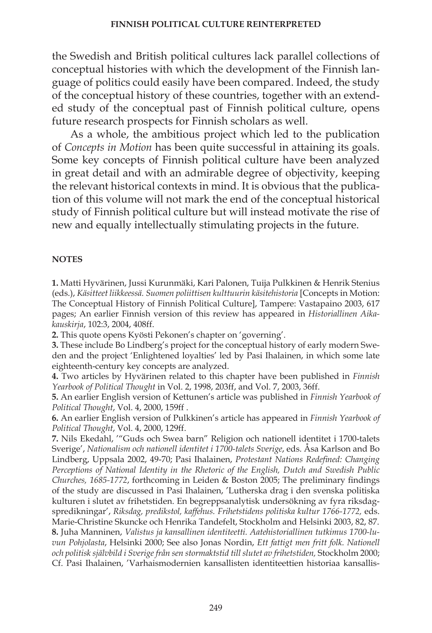the Swedish and British political cultures lack parallel collections of conceptual histories with which the development of the Finnish language of politics could easily have been compared. Indeed, the study of the conceptual history of these countries, together with an extended study of the conceptual past of Finnish political culture, opens future research prospects for Finnish scholars as well.

As a whole, the ambitious project which led to the publication of *Concepts in Motion* has been quite successful in attaining its goals. Some key concepts of Finnish political culture have been analyzed in great detail and with an admirable degree of objectivity, keeping the relevant historical contexts in mind. It is obvious that the publication of this volume will not mark the end of the conceptual historical study of Finnish political culture but will instead motivate the rise of new and equally intellectually stimulating projects in the future.

### **NOTES**

**1.** Matti Hyvärinen, Jussi Kurunmäki, Kari Palonen, Tuija Pulkkinen & Henrik Stenius (eds.), *Käsitteet liikkeessä. Suomen poliittisen kulttuurin käsitehistoria* [Concepts in Motion: The Conceptual History of Finnish Political Culture], Tampere: Vastapaino 2003, 617 pages; An earlier Finnish version of this review has appeared in *Historiallinen Aikakauskirja*, 102:3, 2004, 408ff.

**2.** This quote opens Kyösti Pekonen's chapter on 'governing'.

**3.** These include Bo Lindberg's project for the conceptual history of early modern Sweden and the project 'Enlightened loyalties' led by Pasi Ihalainen, in which some late eighteenth-century key concepts are analyzed.

**4.** Two articles by Hyvärinen related to this chapter have been published in *Finnish Yearbook of Political Thought* in Vol. 2, 1998, 203ff, and Vol. 7, 2003, 36ff.

**5.** An earlier English version of Kettunen's article was published in *Finnish Yearbook of Political Thought*, Vol. 4, 2000, 159ff .

**6.** An earlier English version of Pulkkinen's article has appeared in *Finnish Yearbook of Political Thought*, Vol. 4, 2000, 129ff.

**7.** Nils Ekedahl, '"Guds och Swea barn" Religion och nationell identitet i 1700-talets Sverige', *Nationalism och nationell identitet i 1700-talets Sverige*, eds. Åsa Karlson and Bo Lindberg, Uppsala 2002, 49-70; Pasi Ihalainen, *Protestant Nations Redefined: Changing Perceptions of National Identity in the Rhetoric of the English, Dutch and Swedish Public Churches, 1685-1772*, forthcoming in Leiden & Boston 2005; The preliminary findings of the study are discussed in Pasi Ihalainen, 'Lutherska drag i den svenska politiska kulturen i slutet av frihetstiden. En begreppsanalytisk undersökning av fyra riksdagspredikningar', *Riksdag, predikstol, kaffehus. Frihetstidens politiska kultur 1766-1772,* eds. Marie-Christine Skuncke och Henrika Tandefelt, Stockholm and Helsinki 2003, 82, 87. **8.** Juha Manninen, *Valistus ja kansallinen identiteetti. Aatehistoriallinen tutkimus 1700-luvun Pohjolasta*, Helsinki 2000; See also Jonas Nordin, *Ett fattigt men fritt folk. Nationell och politisk självbild i Sverige från sen stormaktstid till slutet av frihetstiden,* Stockholm 2000; Cf. Pasi Ihalainen, 'Varhaismodernien kansallisten identiteettien historiaa kansallis-